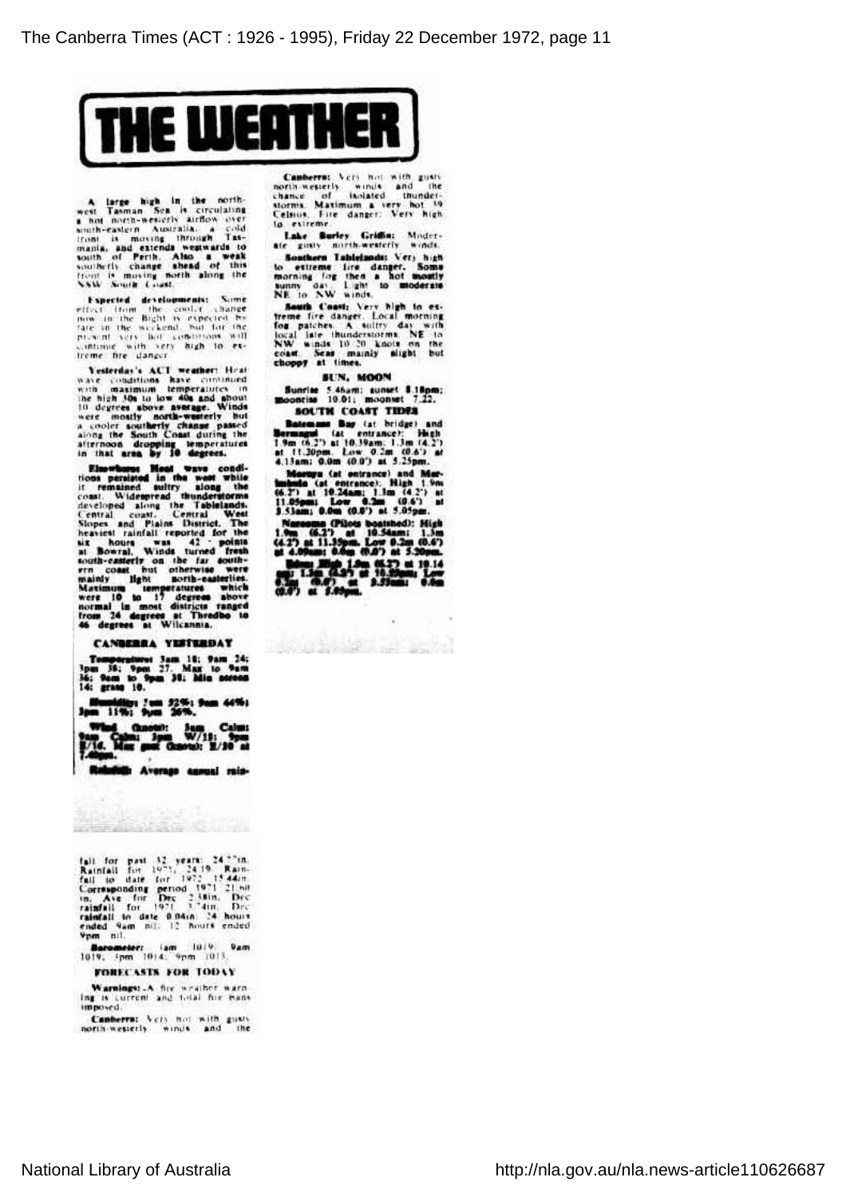

A large high in the north-<br>west Tasman Sea is circulating<br>not not necessary and north-western Australia, a cold<br>front is moving through Tas-<br>manik, and extends weatwards to<br>south of Perth. Also a weak<br>southerly change shea

l'xpectcd developments: Some effect from the cooler change now in the Bight is expected by late in the weekend, hut for the present very hot conditions will continue with very high to ex treme fire danger.

Vesterday's ACT weather: Heat<br>wave conditions have continued with maximum temperatures in<br>the high Joh to low 40s and about<br>10 degrees above average. Window<br>were mostly horizon accompany temperature<br>along the South Coast d

Electronic Meal wave conditions per<br>situate in the west while the consumed in the mained only<br>y slong the description of the design of the description of<br>developed along the Table<br>individual coast. Central West Slopes and

#### CANBERRA YESTERDAY

Temperature! 3am 18: 9am 24; 3pm 38; 9pm 27. Max to 9am 36; 9am to 9pm 38; Min screen 14; grass 10.

Humidity; 2am 5296; 9am 44%; 3pm 11%; 9pm 26%.

What Calm; 3pm Calm; 3pm W/lJ; 9pm

Ralnfallt Average annual rais-

**The Allege Search Courses** 

fait for past 12 years: 24.77m.<br>Rainfait for 1971, 24.19. Rain<br>fait to date for 1972, 15.44m.<br>Corresponding period 1971–21.50<br>rainfait for Dec 2.38in, Decamber<br>rainfait for 1971–3.74im. Decamber<br>ended 9am. nti: 12. Nours e

**ftarometer:** .iam 1019: 9a<br>1019: 3pm 1014: 9pm 1013.

## FORECASTS FOR TODAY

Warnings: A fire weather warn ing is currcnt and total file bans imposed.

Canberra; Very hot with gusty

Canberra; Very hot with gusty<br>north-westerly winds and the<br>storms. Maximum a very hot <sup>19</sup><br>storms. Maximum a very hot <sup>19</sup><br>Celsius. Fire danger: Very high Jo extreme.

Lake Burley Griffin: Moder

Southern Tablelands: Very high<br>to extreme fire danger. Some<br>norning fog then a hot mostly<br>NE to XW winds.

South Coast: Very high to ex-<br>freme fire danger. Local morning<br>focal late thunderstorms. NE to<br>NW winds 10/20 knots on the<br>coast. Seas mainly slight but<br>choppy at times.

### SUN, MOON

Sunrise 5.46am; sunset 8.18pra; moonrise 10.01; mo on set 7.22. SOUTH COAST TIDES

Ratemans Ray (at bridge) and Bermaftui (at entrance): High I.9m (6.2') at 10.39am; 1.3m (4.2\*) at 11.20pm. Low 0.2m (0.6') at 4.13am; 0.0m (0.0') at 5.25pm.

Moroya (at entrance) and Mur-<br>hobels (at entrance): High 1.9m<br>(6.2°) at 10.24am; 1.3m (4.4°) at<br>11.05pm; Low 0.07) at 5.05pm.

Narooma (Pilots boatshed): High<br>1.9m (6.2') at 10.54am; 1.3m<br>at 4.09am; 0.6m (0.6') at 5.20pm.

**ex:** He 150 1.9m (6.23) at 10.14<br>an; 1.3m (4.35) at 5.05pm Lot 16.<br>0.2ai (0.4) at 5.05pm

**ANGELIA PERSONAL**